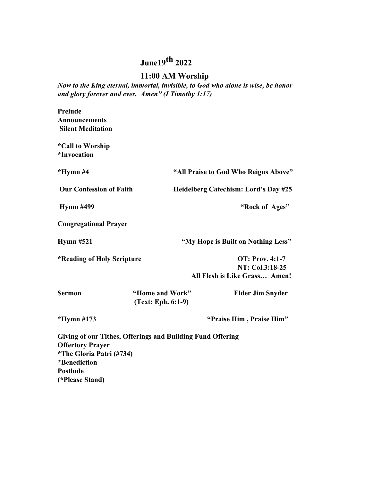# **June19th 2022**

# **11:00 AM Worship**

*Now to the King eternal, immortal, invisible, to God who alone is wise, be honor and glory forever and ever. Amen" (I Timothy 1:17)*

| Prelude                        |                                      |
|--------------------------------|--------------------------------------|
| Announcements                  |                                      |
| <b>Silent Meditation</b>       |                                      |
| <i>*Call to Worship</i>        |                                      |
| <i>*Invocation</i>             |                                      |
| *Hymn #4                       | "All Praise to God Who Reigns Above" |
| <b>Our Confession of Faith</b> | Heidelberg Catechism: Lord's Day #25 |
| <b>Hymn #499</b>               | "Rock of Ages"                       |
| <b>Congregational Prayer</b>   |                                      |
| Hymn $#521$                    | "My Hope is Built on Nothing Less"   |
| *Reading of Holy Scripture     | <b>OT: Prov. 4:1-7</b>               |
|                                | NT: Col.3:18-25                      |
|                                | All Flesh is Like Grass Amen!        |

| <b>Sermon</b> | "Home and Work"      | <b>Elder Jim Snyder</b> |
|---------------|----------------------|-------------------------|
|               | $(Text: Eph. 6:1-9)$ |                         |

**\*Hymn #173 "Praise Him , Praise Him"**

**Giving of our Tithes, Offerings and Building Fund Offering Offertory Prayer \*The Gloria Patri (#734) \*Benediction Postlude (\*Please Stand)**